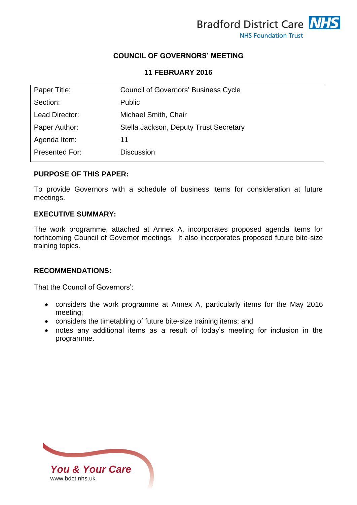

### **COUNCIL OF GOVERNORS' MEETING**

#### **11 FEBRUARY 2016**

| Paper Title:   | <b>Council of Governors' Business Cycle</b> |
|----------------|---------------------------------------------|
| Section:       | <b>Public</b>                               |
| Lead Director: | Michael Smith, Chair                        |
| Paper Author:  | Stella Jackson, Deputy Trust Secretary      |
| Agenda Item:   | 11                                          |
| Presented For: | <b>Discussion</b>                           |

#### **PURPOSE OF THIS PAPER:**

To provide Governors with a schedule of business items for consideration at future meetings.

#### **EXECUTIVE SUMMARY:**

The work programme, attached at Annex A, incorporates proposed agenda items for forthcoming Council of Governor meetings. It also incorporates proposed future bite-size training topics.

### **RECOMMENDATIONS:**

That the Council of Governors':

- considers the work programme at Annex A, particularly items for the May 2016 meeting;
- considers the timetabling of future bite-size training items; and
- notes any additional items as a result of today's meeting for inclusion in the programme.

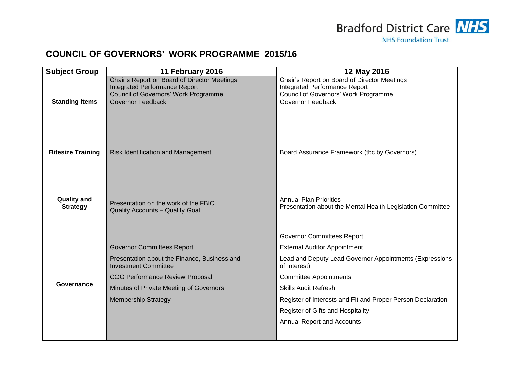

# **COUNCIL OF GOVERNORS' WORK PROGRAMME 2015/16**

| <b>Subject Group</b>                  | 11 February 2016                                                                                                                                         | 12 May 2016                                                                                                                                       |
|---------------------------------------|----------------------------------------------------------------------------------------------------------------------------------------------------------|---------------------------------------------------------------------------------------------------------------------------------------------------|
| <b>Standing Items</b>                 | Chair's Report on Board of Director Meetings<br><b>Integrated Performance Report</b><br>Council of Governors' Work Programme<br><b>Governor Feedback</b> | Chair's Report on Board of Director Meetings<br><b>Integrated Performance Report</b><br>Council of Governors' Work Programme<br>Governor Feedback |
| <b>Bitesize Training</b>              | Risk Identification and Management                                                                                                                       | Board Assurance Framework (tbc by Governors)                                                                                                      |
| <b>Quality and</b><br><b>Strategy</b> | Presentation on the work of the FBIC<br><b>Quality Accounts - Quality Goal</b>                                                                           | <b>Annual Plan Priorities</b><br>Presentation about the Mental Health Legislation Committee                                                       |
| Governance                            |                                                                                                                                                          | <b>Governor Committees Report</b>                                                                                                                 |
|                                       | <b>Governor Committees Report</b>                                                                                                                        | <b>External Auditor Appointment</b>                                                                                                               |
|                                       | Presentation about the Finance, Business and<br><b>Investment Committee</b>                                                                              | Lead and Deputy Lead Governor Appointments (Expressions<br>of Interest)                                                                           |
|                                       | <b>COG Performance Review Proposal</b>                                                                                                                   | <b>Committee Appointments</b>                                                                                                                     |
|                                       | Minutes of Private Meeting of Governors                                                                                                                  | <b>Skills Audit Refresh</b>                                                                                                                       |
|                                       | <b>Membership Strategy</b>                                                                                                                               | Register of Interests and Fit and Proper Person Declaration                                                                                       |
|                                       |                                                                                                                                                          | Register of Gifts and Hospitality                                                                                                                 |
|                                       |                                                                                                                                                          | <b>Annual Report and Accounts</b>                                                                                                                 |
|                                       |                                                                                                                                                          |                                                                                                                                                   |